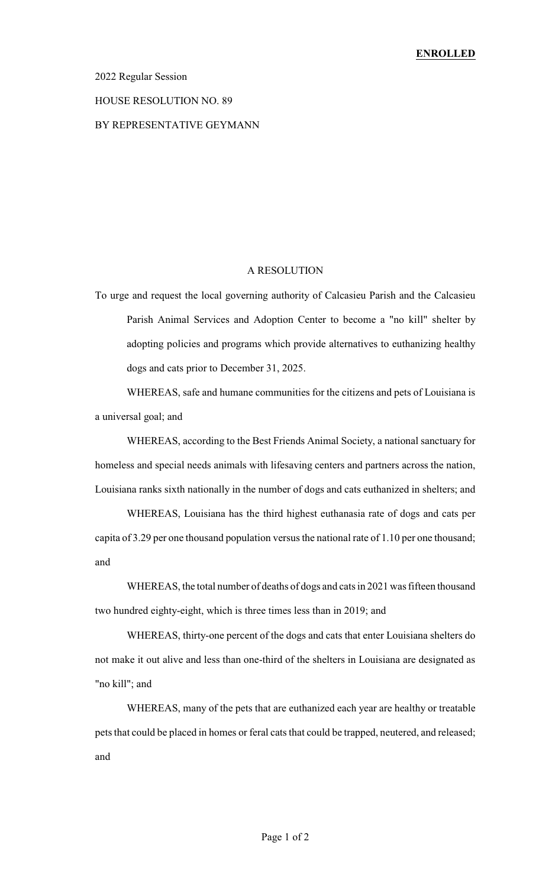### 2022 Regular Session

#### HOUSE RESOLUTION NO. 89

### BY REPRESENTATIVE GEYMANN

## A RESOLUTION

To urge and request the local governing authority of Calcasieu Parish and the Calcasieu Parish Animal Services and Adoption Center to become a "no kill" shelter by adopting policies and programs which provide alternatives to euthanizing healthy dogs and cats prior to December 31, 2025.

WHEREAS, safe and humane communities for the citizens and pets of Louisiana is a universal goal; and

WHEREAS, according to the Best Friends Animal Society, a national sanctuary for homeless and special needs animals with lifesaving centers and partners across the nation, Louisiana ranks sixth nationally in the number of dogs and cats euthanized in shelters; and

WHEREAS, Louisiana has the third highest euthanasia rate of dogs and cats per capita of 3.29 per one thousand population versus the national rate of 1.10 per one thousand; and

WHEREAS, the total number of deaths of dogs and cats in 2021 was fifteen thousand two hundred eighty-eight, which is three times less than in 2019; and

WHEREAS, thirty-one percent of the dogs and cats that enter Louisiana shelters do not make it out alive and less than one-third of the shelters in Louisiana are designated as "no kill"; and

WHEREAS, many of the pets that are euthanized each year are healthy or treatable pets that could be placed in homes or feral cats that could be trapped, neutered, and released; and